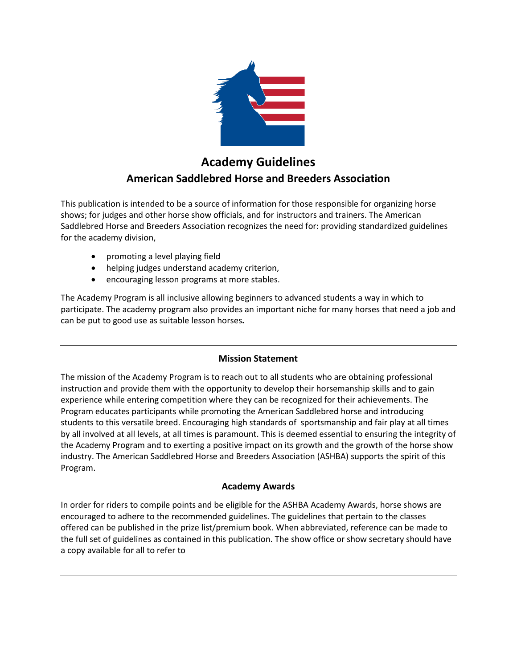

# **Academy Guidelines American Saddlebred Horse and Breeders Association**

This publication is intended to be a source of information for those responsible for organizing horse shows; for judges and other horse show officials, and for instructors and trainers. The American Saddlebred Horse and Breeders Association recognizes the need for: providing standardized guidelines for the academy division,

- promoting a level playing field
- helping judges understand academy criterion,
- encouraging lesson programs at more stables.

The Academy Program is all inclusive allowing beginners to advanced students a way in which to participate. The academy program also provides an important niche for many horses that need a job and can be put to good use as suitable lesson horses**.**

## **Mission Statement**

The mission of the Academy Program is to reach out to all students who are obtaining professional instruction and provide them with the opportunity to develop their horsemanship skills and to gain experience while entering competition where they can be recognized for their achievements. The Program educates participants while promoting the American Saddlebred horse and introducing students to this versatile breed. Encouraging high standards of sportsmanship and fair play at all times by all involved at all levels, at all times is paramount. This is deemed essential to ensuring the integrity of the Academy Program and to exerting a positive impact on its growth and the growth of the horse show industry. The American Saddlebred Horse and Breeders Association (ASHBA) supports the spirit of this Program.

## **Academy Awards**

In order for riders to compile points and be eligible for the ASHBA Academy Awards, horse shows are encouraged to adhere to the recommended guidelines. The guidelines that pertain to the classes offered can be published in the prize list/premium book. When abbreviated, reference can be made to the full set of guidelines as contained in this publication. The show office or show secretary should have a copy available for all to refer to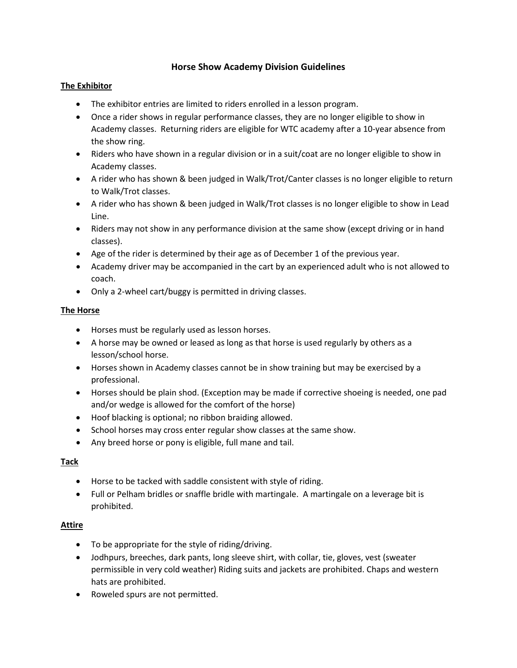## **Horse Show Academy Division Guidelines**

### **The Exhibitor**

- The exhibitor entries are limited to riders enrolled in a lesson program.
- Once a rider shows in regular performance classes, they are no longer eligible to show in Academy classes. Returning riders are eligible for WTC academy after a 10-year absence from the show ring.
- Riders who have shown in a regular division or in a suit/coat are no longer eligible to show in Academy classes.
- A rider who has shown & been judged in Walk/Trot/Canter classes is no longer eligible to return to Walk/Trot classes.
- A rider who has shown & been judged in Walk/Trot classes is no longer eligible to show in Lead Line.
- Riders may not show in any performance division at the same show (except driving or in hand classes).
- Age of the rider is determined by their age as of December 1 of the previous year.
- Academy driver may be accompanied in the cart by an experienced adult who is not allowed to coach.
- Only a 2-wheel cart/buggy is permitted in driving classes.

#### **The Horse**

- Horses must be regularly used as lesson horses.
- A horse may be owned or leased as long as that horse is used regularly by others as a lesson/school horse.
- Horses shown in Academy classes cannot be in show training but may be exercised by a professional.
- Horses should be plain shod. (Exception may be made if corrective shoeing is needed, one pad and/or wedge is allowed for the comfort of the horse)
- Hoof blacking is optional; no ribbon braiding allowed.
- School horses may cross enter regular show classes at the same show.
- Any breed horse or pony is eligible, full mane and tail.

## **Tack**

- Horse to be tacked with saddle consistent with style of riding.
- Full or Pelham bridles or snaffle bridle with martingale. A martingale on a leverage bit is prohibited.

## **Attire**

- To be appropriate for the style of riding/driving.
- Jodhpurs, breeches, dark pants, long sleeve shirt, with collar, tie, gloves, vest (sweater permissible in very cold weather) Riding suits and jackets are prohibited. Chaps and western hats are prohibited.
- Roweled spurs are not permitted.